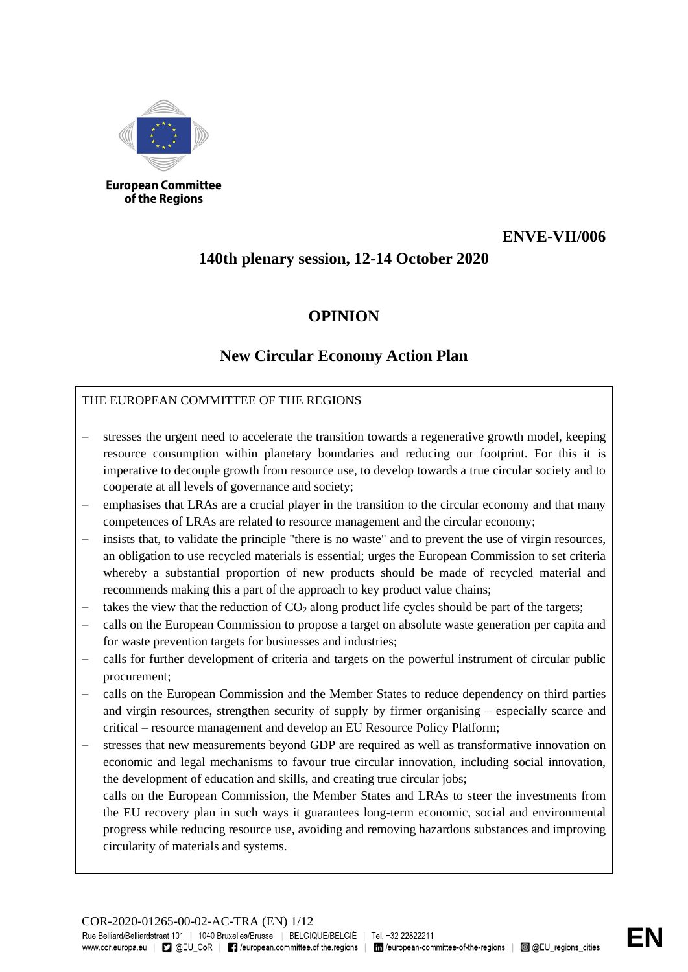

**European Committee** of the Regions

## **ENVE-VII/006**

## **140th plenary session, 12-14 October 2020**

## **OPINION**

# **New Circular Economy Action Plan**

## THE EUROPEAN COMMITTEE OF THE REGIONS

- stresses the urgent need to accelerate the transition towards a regenerative growth model, keeping resource consumption within planetary boundaries and reducing our footprint. For this it is imperative to decouple growth from resource use, to develop towards a true circular society and to cooperate at all levels of governance and society;
- emphasises that LRAs are a crucial player in the transition to the circular economy and that many competences of LRAs are related to resource management and the circular economy;
- insists that, to validate the principle "there is no waste" and to prevent the use of virgin resources, an obligation to use recycled materials is essential; urges the European Commission to set criteria whereby a substantial proportion of new products should be made of recycled material and recommends making this a part of the approach to key product value chains;
- takes the view that the reduction of  $CO<sub>2</sub>$  along product life cycles should be part of the targets;
- − calls on the European Commission to propose a target on absolute waste generation per capita and for waste prevention targets for businesses and industries;
- − calls for further development of criteria and targets on the powerful instrument of circular public procurement;
- − calls on the European Commission and the Member States to reduce dependency on third parties and virgin resources, strengthen security of supply by firmer organising – especially scarce and critical – resource management and develop an EU Resource Policy Platform;
- stresses that new measurements beyond GDP are required as well as transformative innovation on economic and legal mechanisms to favour true circular innovation, including social innovation, the development of education and skills, and creating true circular jobs;

calls on the European Commission, the Member States and LRAs to steer the investments from the EU recovery plan in such ways it guarantees long-term economic, social and environmental progress while reducing resource use, avoiding and removing hazardous substances and improving circularity of materials and systems.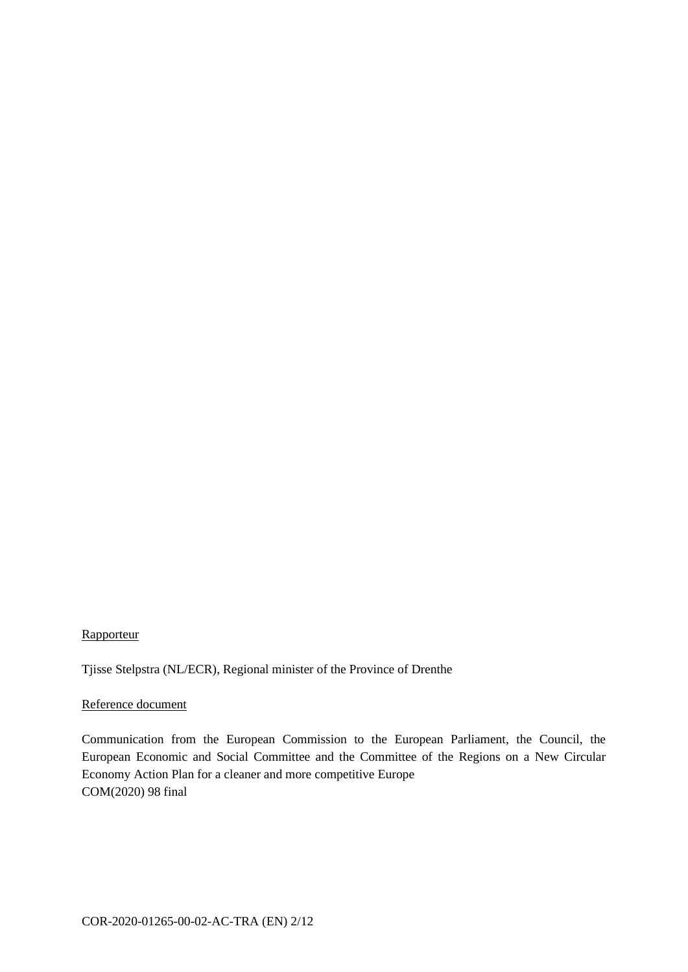## **Rapporteur**

Tjisse Stelpstra (NL/ECR), Regional minister of the Province of Drenthe

#### Reference document

Communication from the European Commission to the European Parliament, the Council, the European Economic and Social Committee and the Committee of the Regions on a New Circular Economy Action Plan for a cleaner and more competitive Europe COM(2020) 98 final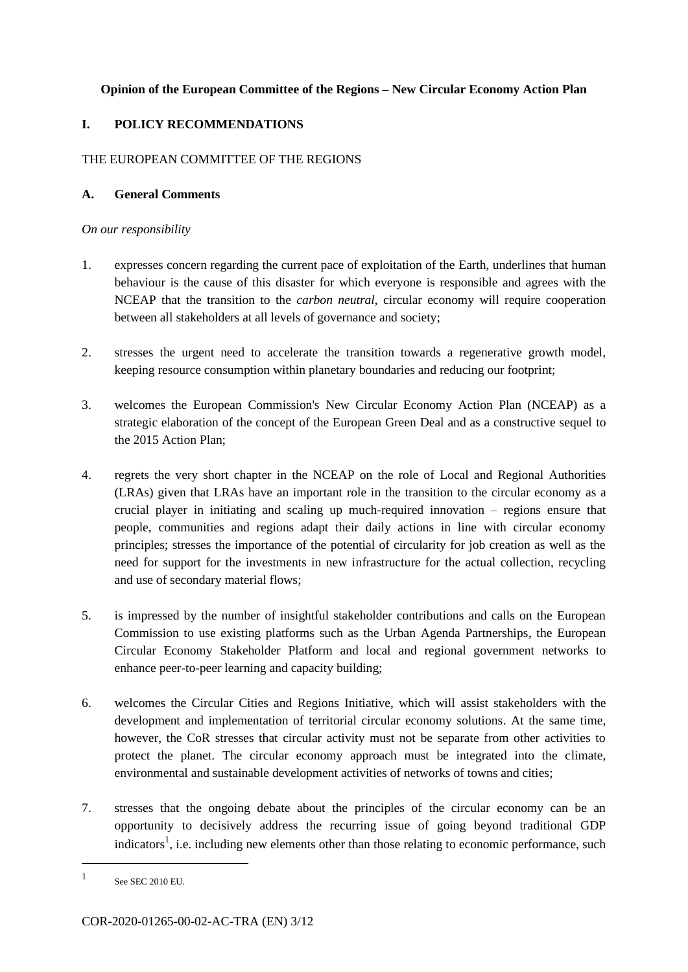## **Opinion of the European Committee of the Regions – New Circular Economy Action Plan**

## **I. POLICY RECOMMENDATIONS**

## THE EUROPEAN COMMITTEE OF THE REGIONS

## **A. General Comments**

### *On our responsibility*

- 1. expresses concern regarding the current pace of exploitation of the Earth, underlines that human behaviour is the cause of this disaster for which everyone is responsible and agrees with the NCEAP that the transition to the *carbon neutral*, circular economy will require cooperation between all stakeholders at all levels of governance and society;
- 2. stresses the urgent need to accelerate the transition towards a regenerative growth model, keeping resource consumption within planetary boundaries and reducing our footprint;
- 3. welcomes the European Commission's New Circular Economy Action Plan (NCEAP) as a strategic elaboration of the concept of the European Green Deal and as a constructive sequel to the 2015 Action Plan;
- 4. regrets the very short chapter in the NCEAP on the role of Local and Regional Authorities (LRAs) given that LRAs have an important role in the transition to the circular economy as a crucial player in initiating and scaling up much-required innovation – regions ensure that people, communities and regions adapt their daily actions in line with circular economy principles; stresses the importance of the potential of circularity for job creation as well as the need for support for the investments in new infrastructure for the actual collection, recycling and use of secondary material flows;
- 5. is impressed by the number of insightful stakeholder contributions and calls on the European Commission to use existing platforms such as the Urban Agenda Partnerships, the European Circular Economy Stakeholder Platform and local and regional government networks to enhance peer-to-peer learning and capacity building;
- 6. welcomes the Circular Cities and Regions Initiative, which will assist stakeholders with the development and implementation of territorial circular economy solutions. At the same time, however, the CoR stresses that circular activity must not be separate from other activities to protect the planet. The circular economy approach must be integrated into the climate, environmental and sustainable development activities of networks of towns and cities;
- 7. stresses that the ongoing debate about the principles of the circular economy can be an opportunity to decisively address the recurring issue of going beyond traditional GDP indicators<sup>1</sup>, i.e. including new elements other than those relating to economic performance, such

<sup>1</sup> See SEC 2010 EU.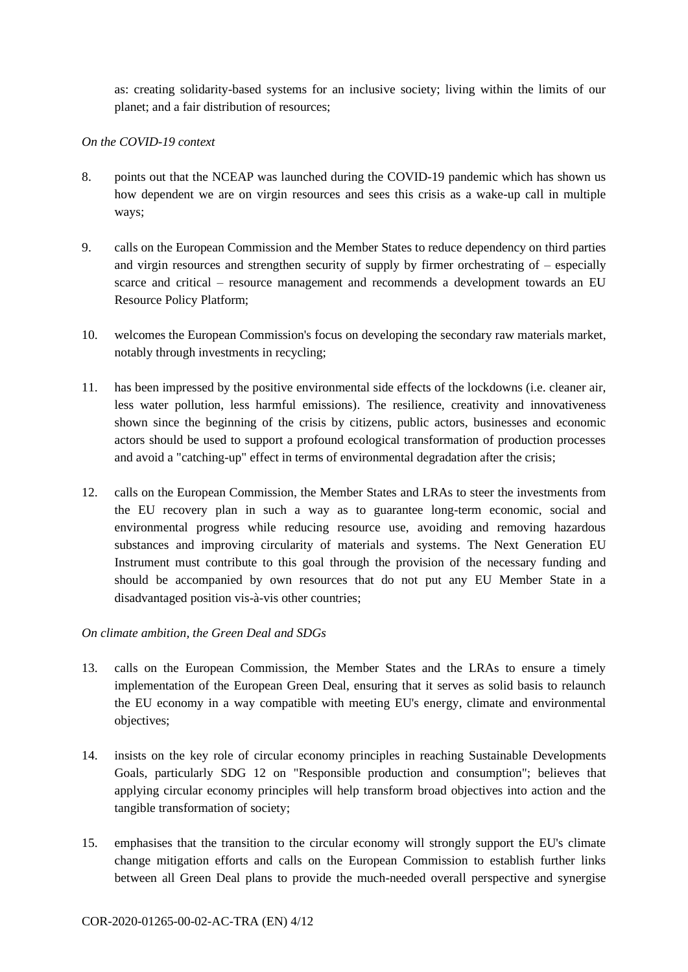as: creating solidarity-based systems for an inclusive society; living within the limits of our planet; and a fair distribution of resources;

### *On the COVID-19 context*

- 8. points out that the NCEAP was launched during the COVID-19 pandemic which has shown us how dependent we are on virgin resources and sees this crisis as a wake-up call in multiple ways;
- 9. calls on the European Commission and the Member States to reduce dependency on third parties and virgin resources and strengthen security of supply by firmer orchestrating of – especially scarce and critical – resource management and recommends a development towards an EU Resource Policy Platform;
- 10. welcomes the European Commission's focus on developing the secondary raw materials market, notably through investments in recycling;
- 11. has been impressed by the positive environmental side effects of the lockdowns (i.e. cleaner air, less water pollution, less harmful emissions). The resilience, creativity and innovativeness shown since the beginning of the crisis by citizens, public actors, businesses and economic actors should be used to support a profound ecological transformation of production processes and avoid a "catching-up" effect in terms of environmental degradation after the crisis;
- 12. calls on the European Commission, the Member States and LRAs to steer the investments from the EU recovery plan in such a way as to guarantee long-term economic, social and environmental progress while reducing resource use, avoiding and removing hazardous substances and improving circularity of materials and systems. The Next Generation EU Instrument must contribute to this goal through the provision of the necessary funding and should be accompanied by own resources that do not put any EU Member State in a disadvantaged position vis-à-vis other countries;

## *On climate ambition, the Green Deal and SDGs*

- 13. calls on the European Commission, the Member States and the LRAs to ensure a timely implementation of the European Green Deal, ensuring that it serves as solid basis to relaunch the EU economy in a way compatible with meeting EU's energy, climate and environmental objectives;
- 14. insists on the key role of circular economy principles in reaching Sustainable Developments Goals, particularly SDG 12 on "Responsible production and consumption"; believes that applying circular economy principles will help transform broad objectives into action and the tangible transformation of society;
- 15. emphasises that the transition to the circular economy will strongly support the EU's climate change mitigation efforts and calls on the European Commission to establish further links between all Green Deal plans to provide the much-needed overall perspective and synergise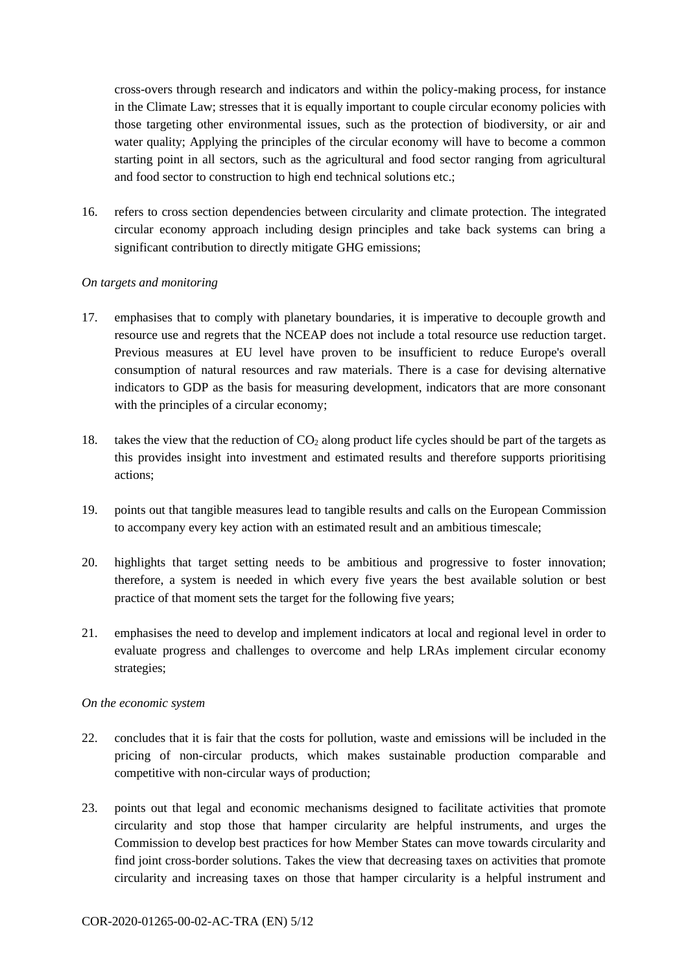cross-overs through research and indicators and within the policy-making process, for instance in the Climate Law; stresses that it is equally important to couple circular economy policies with those targeting other environmental issues, such as the protection of biodiversity, or air and water quality; Applying the principles of the circular economy will have to become a common starting point in all sectors, such as the agricultural and food sector ranging from agricultural and food sector to construction to high end technical solutions etc.;

16. refers to cross section dependencies between circularity and climate protection. The integrated circular economy approach including design principles and take back systems can bring a significant contribution to directly mitigate GHG emissions;

#### *On targets and monitoring*

- 17. emphasises that to comply with planetary boundaries, it is imperative to decouple growth and resource use and regrets that the NCEAP does not include a total resource use reduction target. Previous measures at EU level have proven to be insufficient to reduce Europe's overall consumption of natural resources and raw materials. There is a case for devising alternative indicators to GDP as the basis for measuring development, indicators that are more consonant with the principles of a circular economy;
- 18. takes the view that the reduction of  $CO<sub>2</sub>$  along product life cycles should be part of the targets as this provides insight into investment and estimated results and therefore supports prioritising actions;
- 19. points out that tangible measures lead to tangible results and calls on the European Commission to accompany every key action with an estimated result and an ambitious timescale;
- 20. highlights that target setting needs to be ambitious and progressive to foster innovation; therefore, a system is needed in which every five years the best available solution or best practice of that moment sets the target for the following five years;
- 21. emphasises the need to develop and implement indicators at local and regional level in order to evaluate progress and challenges to overcome and help LRAs implement circular economy strategies;

## *On the economic system*

- 22. concludes that it is fair that the costs for pollution, waste and emissions will be included in the pricing of non-circular products, which makes sustainable production comparable and competitive with non-circular ways of production;
- 23. points out that legal and economic mechanisms designed to facilitate activities that promote circularity and stop those that hamper circularity are helpful instruments, and urges the Commission to develop best practices for how Member States can move towards circularity and find joint cross-border solutions. Takes the view that decreasing taxes on activities that promote circularity and increasing taxes on those that hamper circularity is a helpful instrument and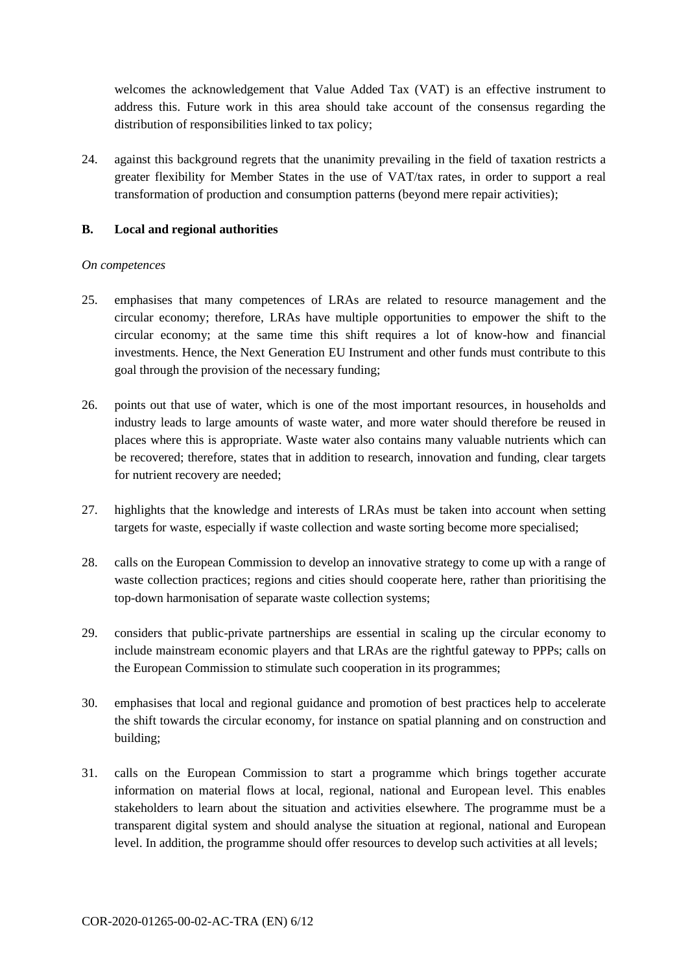welcomes the acknowledgement that Value Added Tax (VAT) is an effective instrument to address this. Future work in this area should take account of the consensus regarding the distribution of responsibilities linked to tax policy;

24. against this background regrets that the unanimity prevailing in the field of taxation restricts a greater flexibility for Member States in the use of VAT/tax rates, in order to support a real transformation of production and consumption patterns (beyond mere repair activities);

### **B. Local and regional authorities**

#### *On competences*

- 25. emphasises that many competences of LRAs are related to resource management and the circular economy; therefore, LRAs have multiple opportunities to empower the shift to the circular economy; at the same time this shift requires a lot of know-how and financial investments. Hence, the Next Generation EU Instrument and other funds must contribute to this goal through the provision of the necessary funding;
- 26. points out that use of water, which is one of the most important resources, in households and industry leads to large amounts of waste water, and more water should therefore be reused in places where this is appropriate. Waste water also contains many valuable nutrients which can be recovered; therefore, states that in addition to research, innovation and funding, clear targets for nutrient recovery are needed;
- 27. highlights that the knowledge and interests of LRAs must be taken into account when setting targets for waste, especially if waste collection and waste sorting become more specialised;
- 28. calls on the European Commission to develop an innovative strategy to come up with a range of waste collection practices; regions and cities should cooperate here, rather than prioritising the top-down harmonisation of separate waste collection systems;
- 29. considers that public-private partnerships are essential in scaling up the circular economy to include mainstream economic players and that LRAs are the rightful gateway to PPPs; calls on the European Commission to stimulate such cooperation in its programmes;
- 30. emphasises that local and regional guidance and promotion of best practices help to accelerate the shift towards the circular economy, for instance on spatial planning and on construction and building;
- 31. calls on the European Commission to start a programme which brings together accurate information on material flows at local, regional, national and European level. This enables stakeholders to learn about the situation and activities elsewhere. The programme must be a transparent digital system and should analyse the situation at regional, national and European level. In addition, the programme should offer resources to develop such activities at all levels;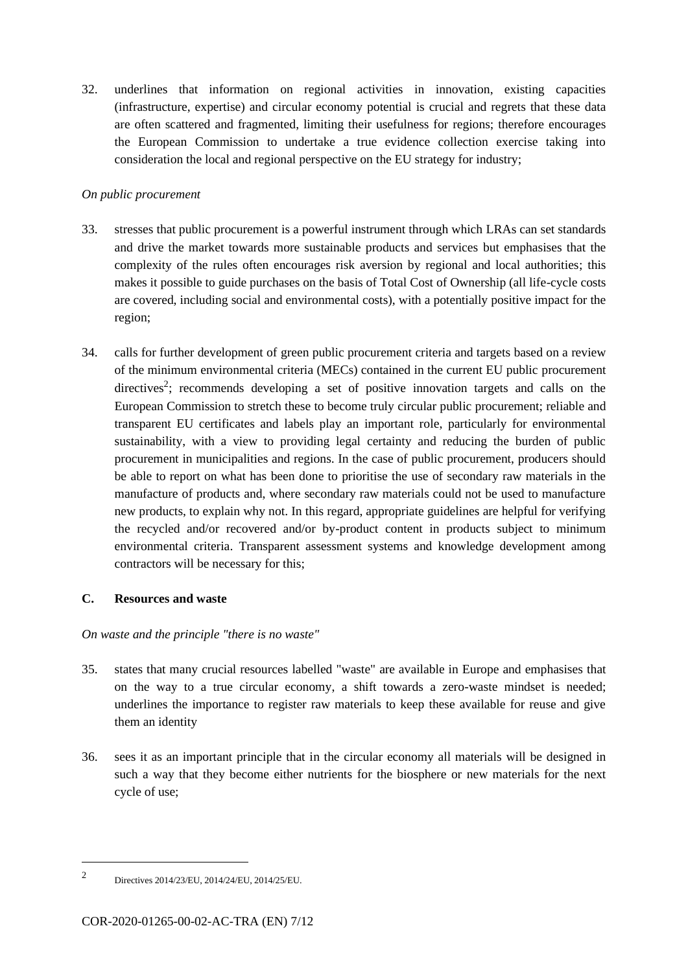32. underlines that information on regional activities in innovation, existing capacities (infrastructure, expertise) and circular economy potential is crucial and regrets that these data are often scattered and fragmented, limiting their usefulness for regions; therefore encourages the European Commission to undertake a true evidence collection exercise taking into consideration the local and regional perspective on the EU strategy for industry;

## *On public procurement*

- 33. stresses that public procurement is a powerful instrument through which LRAs can set standards and drive the market towards more sustainable products and services but emphasises that the complexity of the rules often encourages risk aversion by regional and local authorities; this makes it possible to guide purchases on the basis of Total Cost of Ownership (all life-cycle costs are covered, including social and environmental costs), with a potentially positive impact for the region;
- 34. calls for further development of green public procurement criteria and targets based on a review of the minimum environmental criteria (MECs) contained in the current EU public procurement directives<sup>2</sup>; recommends developing a set of positive innovation targets and calls on the European Commission to stretch these to become truly circular public procurement; reliable and transparent EU certificates and labels play an important role, particularly for environmental sustainability, with a view to providing legal certainty and reducing the burden of public procurement in municipalities and regions. In the case of public procurement, producers should be able to report on what has been done to prioritise the use of secondary raw materials in the manufacture of products and, where secondary raw materials could not be used to manufacture new products, to explain why not. In this regard, appropriate guidelines are helpful for verifying the recycled and/or recovered and/or by-product content in products subject to minimum environmental criteria. Transparent assessment systems and knowledge development among contractors will be necessary for this;

## **C. Resources and waste**

## *On waste and the principle "there is no waste"*

- 35. states that many crucial resources labelled "waste" are available in Europe and emphasises that on the way to a true circular economy, a shift towards a zero-waste mindset is needed; underlines the importance to register raw materials to keep these available for reuse and give them an identity
- 36. sees it as an important principle that in the circular economy all materials will be designed in such a way that they become either nutrients for the biosphere or new materials for the next cycle of use;

<sup>2</sup> Directives 2014/23/EU, 2014/24/EU, 2014/25/EU.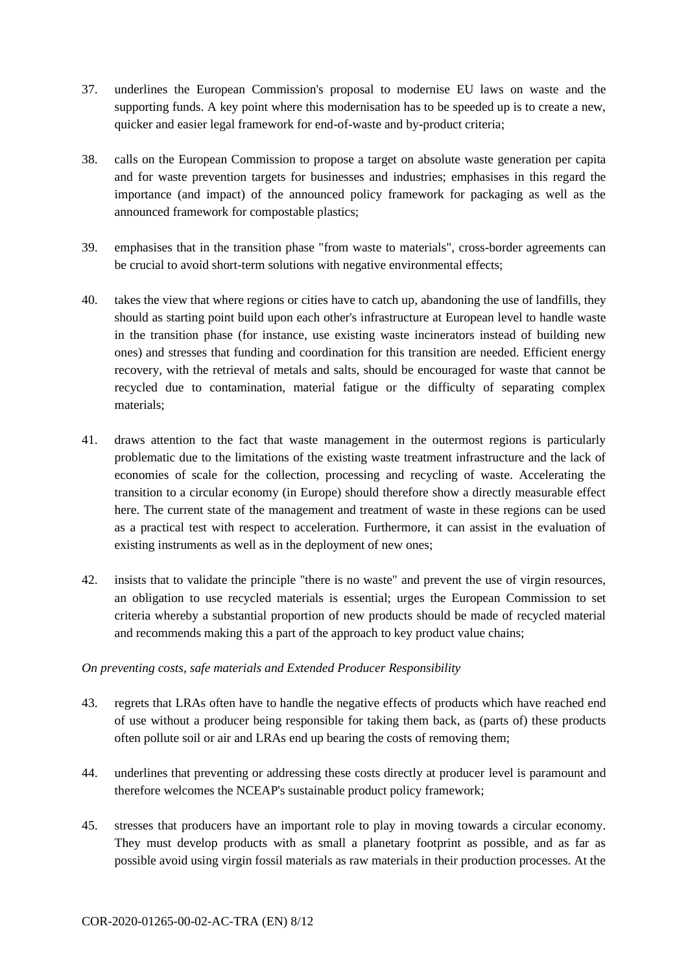- 37. underlines the European Commission's proposal to modernise EU laws on waste and the supporting funds. A key point where this modernisation has to be speeded up is to create a new, quicker and easier legal framework for end-of-waste and by-product criteria;
- 38. calls on the European Commission to propose a target on absolute waste generation per capita and for waste prevention targets for businesses and industries; emphasises in this regard the importance (and impact) of the announced policy framework for packaging as well as the announced framework for compostable plastics;
- 39. emphasises that in the transition phase "from waste to materials", cross-border agreements can be crucial to avoid short-term solutions with negative environmental effects;
- 40. takes the view that where regions or cities have to catch up, abandoning the use of landfills, they should as starting point build upon each other's infrastructure at European level to handle waste in the transition phase (for instance, use existing waste incinerators instead of building new ones) and stresses that funding and coordination for this transition are needed. Efficient energy recovery, with the retrieval of metals and salts, should be encouraged for waste that cannot be recycled due to contamination, material fatigue or the difficulty of separating complex materials;
- 41. draws attention to the fact that waste management in the outermost regions is particularly problematic due to the limitations of the existing waste treatment infrastructure and the lack of economies of scale for the collection, processing and recycling of waste. Accelerating the transition to a circular economy (in Europe) should therefore show a directly measurable effect here. The current state of the management and treatment of waste in these regions can be used as a practical test with respect to acceleration. Furthermore, it can assist in the evaluation of existing instruments as well as in the deployment of new ones;
- 42. insists that to validate the principle "there is no waste" and prevent the use of virgin resources, an obligation to use recycled materials is essential; urges the European Commission to set criteria whereby a substantial proportion of new products should be made of recycled material and recommends making this a part of the approach to key product value chains;

## *On preventing costs, safe materials and Extended Producer Responsibility*

- 43. regrets that LRAs often have to handle the negative effects of products which have reached end of use without a producer being responsible for taking them back, as (parts of) these products often pollute soil or air and LRAs end up bearing the costs of removing them;
- 44. underlines that preventing or addressing these costs directly at producer level is paramount and therefore welcomes the NCEAP's sustainable product policy framework;
- 45. stresses that producers have an important role to play in moving towards a circular economy. They must develop products with as small a planetary footprint as possible, and as far as possible avoid using virgin fossil materials as raw materials in their production processes. At the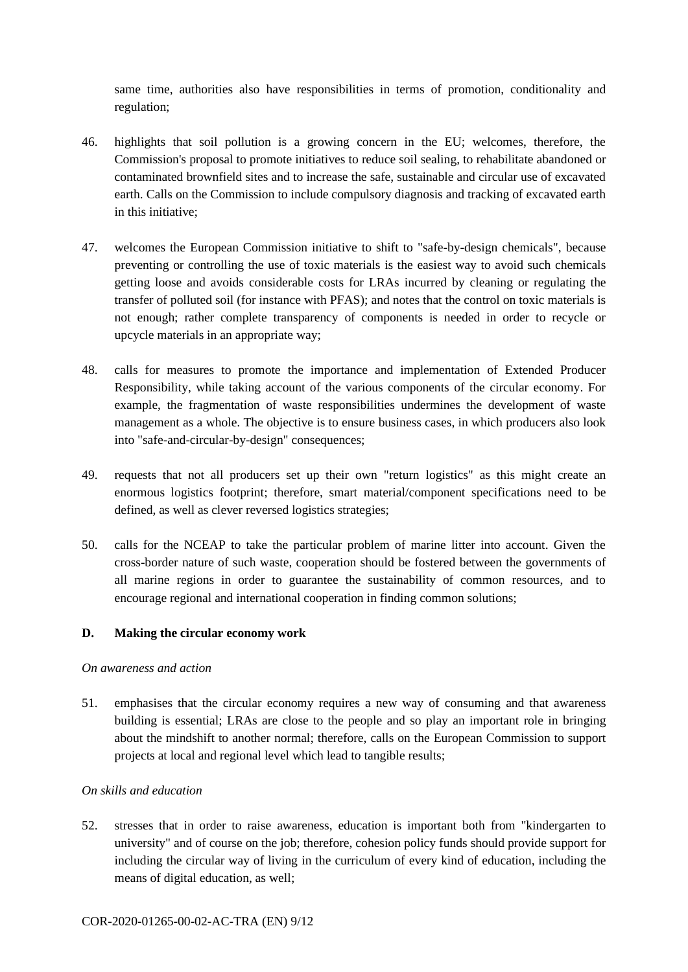same time, authorities also have responsibilities in terms of promotion, conditionality and regulation;

- 46. highlights that soil pollution is a growing concern in the EU; welcomes, therefore, the Commission's proposal to promote initiatives to reduce soil sealing, to rehabilitate abandoned or contaminated brownfield sites and to increase the safe, sustainable and circular use of excavated earth. Calls on the Commission to include compulsory diagnosis and tracking of excavated earth in this initiative;
- 47. welcomes the European Commission initiative to shift to "safe-by-design chemicals", because preventing or controlling the use of toxic materials is the easiest way to avoid such chemicals getting loose and avoids considerable costs for LRAs incurred by cleaning or regulating the transfer of polluted soil (for instance with PFAS); and notes that the control on toxic materials is not enough; rather complete transparency of components is needed in order to recycle or upcycle materials in an appropriate way;
- 48. calls for measures to promote the importance and implementation of Extended Producer Responsibility, while taking account of the various components of the circular economy. For example, the fragmentation of waste responsibilities undermines the development of waste management as a whole. The objective is to ensure business cases, in which producers also look into "safe-and-circular-by-design" consequences;
- 49. requests that not all producers set up their own "return logistics" as this might create an enormous logistics footprint; therefore, smart material/component specifications need to be defined, as well as clever reversed logistics strategies;
- 50. calls for the NCEAP to take the particular problem of marine litter into account. Given the cross-border nature of such waste, cooperation should be fostered between the governments of all marine regions in order to guarantee the sustainability of common resources, and to encourage regional and international cooperation in finding common solutions;

## **D. Making the circular economy work**

#### *On awareness and action*

51. emphasises that the circular economy requires a new way of consuming and that awareness building is essential; LRAs are close to the people and so play an important role in bringing about the mindshift to another normal; therefore, calls on the European Commission to support projects at local and regional level which lead to tangible results;

## *On skills and education*

52. stresses that in order to raise awareness, education is important both from "kindergarten to university" and of course on the job; therefore, cohesion policy funds should provide support for including the circular way of living in the curriculum of every kind of education, including the means of digital education, as well;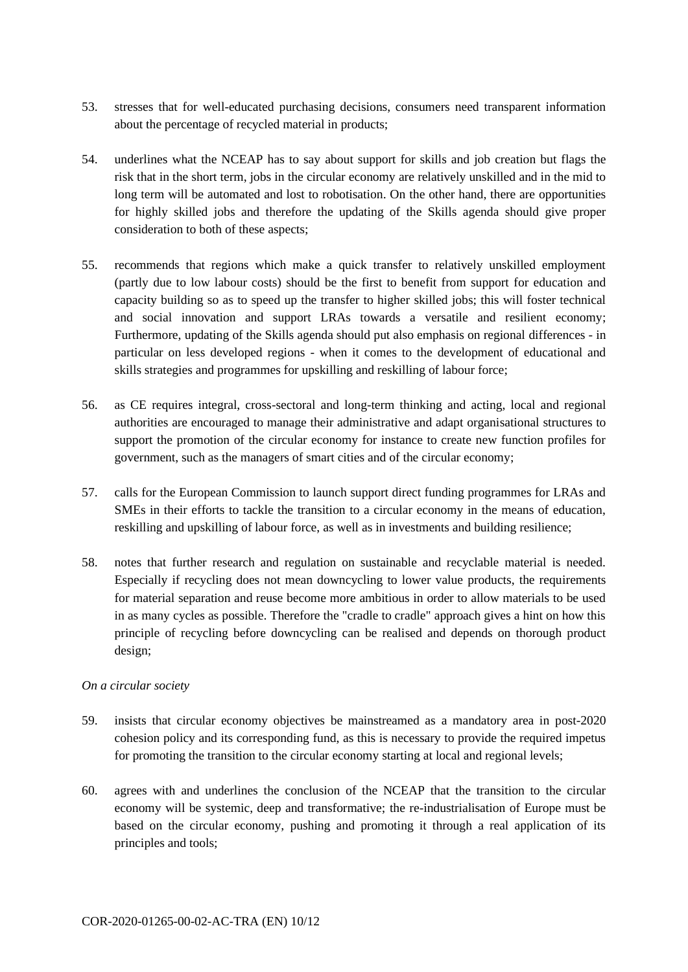- 53. stresses that for well-educated purchasing decisions, consumers need transparent information about the percentage of recycled material in products;
- 54. underlines what the NCEAP has to say about support for skills and job creation but flags the risk that in the short term, jobs in the circular economy are relatively unskilled and in the mid to long term will be automated and lost to robotisation. On the other hand, there are opportunities for highly skilled jobs and therefore the updating of the Skills agenda should give proper consideration to both of these aspects;
- 55. recommends that regions which make a quick transfer to relatively unskilled employment (partly due to low labour costs) should be the first to benefit from support for education and capacity building so as to speed up the transfer to higher skilled jobs; this will foster technical and social innovation and support LRAs towards a versatile and resilient economy; Furthermore, updating of the Skills agenda should put also emphasis on regional differences - in particular on less developed regions - when it comes to the development of educational and skills strategies and programmes for upskilling and reskilling of labour force;
- 56. as CE requires integral, cross-sectoral and long-term thinking and acting, local and regional authorities are encouraged to manage their administrative and adapt organisational structures to support the promotion of the circular economy for instance to create new function profiles for government, such as the managers of smart cities and of the circular economy;
- 57. calls for the European Commission to launch support direct funding programmes for LRAs and SMEs in their efforts to tackle the transition to a circular economy in the means of education, reskilling and upskilling of labour force, as well as in investments and building resilience;
- 58. notes that further research and regulation on sustainable and recyclable material is needed. Especially if recycling does not mean downcycling to lower value products, the requirements for material separation and reuse become more ambitious in order to allow materials to be used in as many cycles as possible. Therefore the "cradle to cradle" approach gives a hint on how this principle of recycling before downcycling can be realised and depends on thorough product design;

## *On a circular society*

- 59. insists that circular economy objectives be mainstreamed as a mandatory area in post-2020 cohesion policy and its corresponding fund, as this is necessary to provide the required impetus for promoting the transition to the circular economy starting at local and regional levels;
- 60. agrees with and underlines the conclusion of the NCEAP that the transition to the circular economy will be systemic, deep and transformative; the re-industrialisation of Europe must be based on the circular economy, pushing and promoting it through a real application of its principles and tools;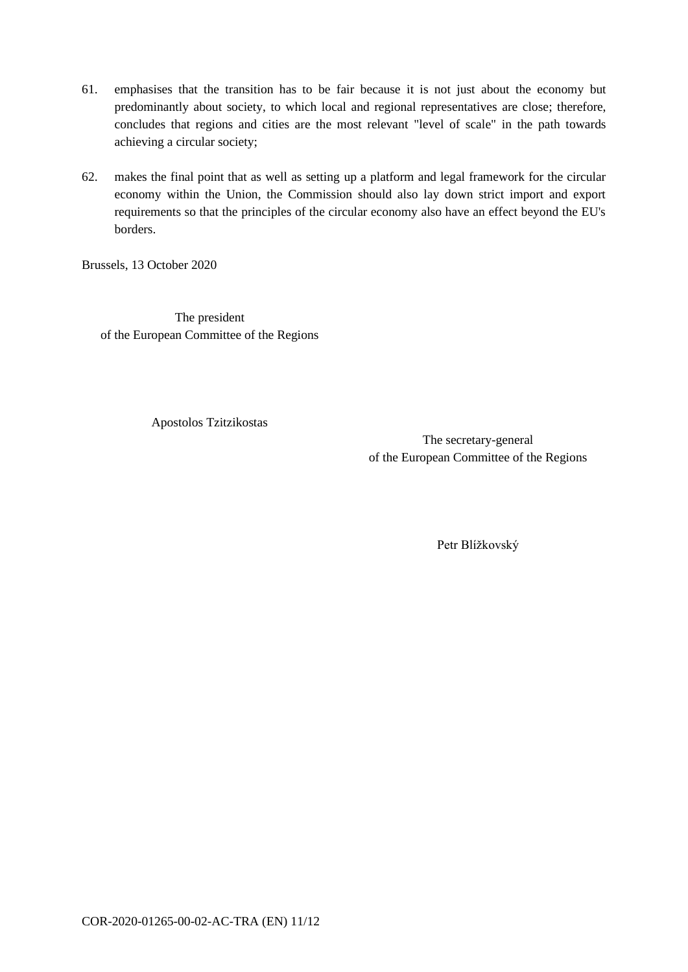- 61. emphasises that the transition has to be fair because it is not just about the economy but predominantly about society, to which local and regional representatives are close; therefore, concludes that regions and cities are the most relevant "level of scale" in the path towards achieving a circular society;
- 62. makes the final point that as well as setting up a platform and legal framework for the circular economy within the Union, the Commission should also lay down strict import and export requirements so that the principles of the circular economy also have an effect beyond the EU's borders.

Brussels, 13 October 2020

The president of the European Committee of the Regions

Apostolos Tzitzikostas

The secretary-general of the European Committee of the Regions

Petr Blížkovský